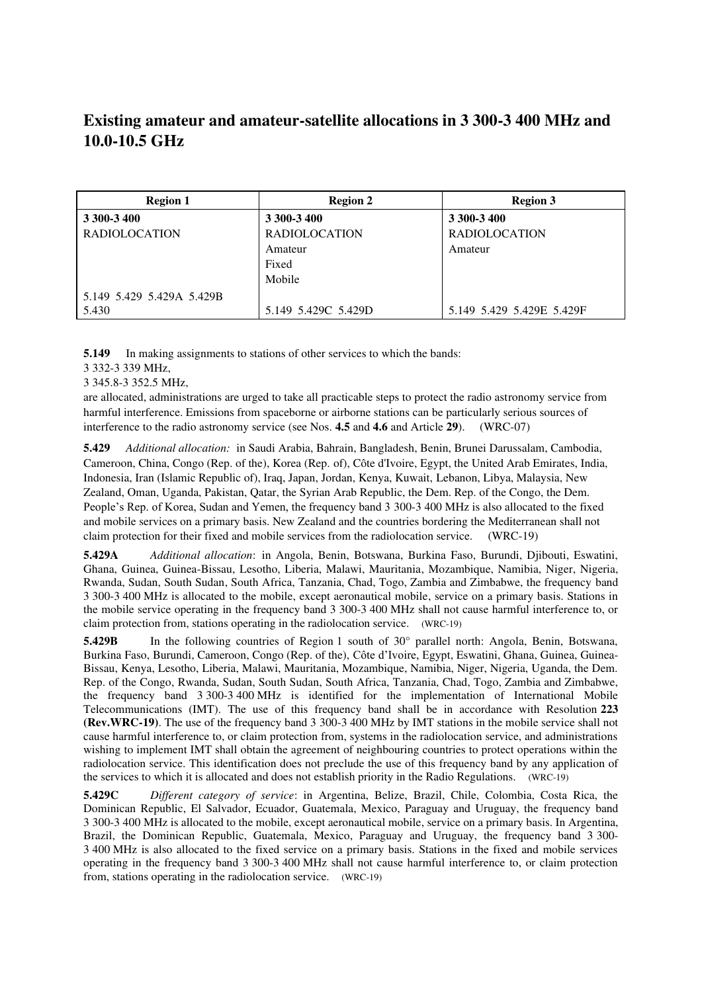## **Existing amateur and amateur-satellite allocations in 3 300-3 400 MHz and 10.0-10.5 GHz**

| <b>Region 1</b>           | <b>Region 2</b>      | <b>Region 3</b>           |
|---------------------------|----------------------|---------------------------|
| 3 300-3 400               | 3 300-3 400          | 3 300-3 400               |
| <b>RADIOLOCATION</b>      | <b>RADIOLOCATION</b> | <b>RADIOLOCATION</b>      |
|                           | Amateur              | Amateur                   |
|                           | Fixed                |                           |
|                           | Mobile               |                           |
| 5.149 5.429 5.429A 5.429B |                      |                           |
| 5.430                     | 5.149 5.429C 5.429D  | 5.149 5.429 5.429E 5.429F |

**5.149** In making assignments to stations of other services to which the bands:

3 332-3 339 MHz,

3 345.8-3 352.5 MHz,

are allocated, administrations are urged to take all practicable steps to protect the radio astronomy service from harmful interference. Emissions from spaceborne or airborne stations can be particularly serious sources of interference to the radio astronomy service (see Nos. **4.5** and **4.6** and Article **29**). (WRC-07)

**5.429** *Additional allocation:* in Saudi Arabia, Bahrain, Bangladesh, Benin, Brunei Darussalam, Cambodia, Cameroon, China, Congo (Rep. of the), Korea (Rep. of), Côte d'Ivoire, Egypt, the United Arab Emirates, India, Indonesia, Iran (Islamic Republic of), Iraq, Japan, Jordan, Kenya, Kuwait, Lebanon, Libya, Malaysia, New Zealand, Oman, Uganda, Pakistan, Qatar, the Syrian Arab Republic, the Dem. Rep. of the Congo, the Dem. People's Rep. of Korea, Sudan and Yemen, the frequency band 3 300-3 400 MHz is also allocated to the fixed and mobile services on a primary basis. New Zealand and the countries bordering the Mediterranean shall not claim protection for their fixed and mobile services from the radiolocation service. (WRC-19)

**5.429A** *Additional allocation*: in Angola, Benin, Botswana, Burkina Faso, Burundi, Djibouti, Eswatini, Ghana, Guinea, Guinea-Bissau, Lesotho, Liberia, Malawi, Mauritania, Mozambique, Namibia, Niger, Nigeria, Rwanda, Sudan, South Sudan, South Africa, Tanzania, Chad, Togo, Zambia and Zimbabwe, the frequency band 3 300-3 400 MHz is allocated to the mobile, except aeronautical mobile, service on a primary basis. Stations in the mobile service operating in the frequency band 3 300-3 400 MHz shall not cause harmful interference to, or claim protection from, stations operating in the radiolocation service. (WRC-19)

**5.429B** In the following countries of Region 1 south of 30° parallel north: Angola, Benin, Botswana, Burkina Faso, Burundi, Cameroon, Congo (Rep. of the), Côte d'Ivoire, Egypt, Eswatini, Ghana, Guinea, Guinea-Bissau, Kenya, Lesotho, Liberia, Malawi, Mauritania, Mozambique, Namibia, Niger, Nigeria, Uganda, the Dem. Rep. of the Congo, Rwanda, Sudan, South Sudan, South Africa, Tanzania, Chad, Togo, Zambia and Zimbabwe, the frequency band 3 300-3 400 MHz is identified for the implementation of International Mobile Telecommunications (IMT). The use of this frequency band shall be in accordance with Resolution **223 (Rev.WRC-19)**. The use of the frequency band 3 300-3 400 MHz by IMT stations in the mobile service shall not cause harmful interference to, or claim protection from, systems in the radiolocation service, and administrations wishing to implement IMT shall obtain the agreement of neighbouring countries to protect operations within the radiolocation service. This identification does not preclude the use of this frequency band by any application of the services to which it is allocated and does not establish priority in the Radio Regulations. (WRC-19)

**5.429C** *Different category of service*: in Argentina, Belize, Brazil, Chile, Colombia, Costa Rica, the Dominican Republic, El Salvador, Ecuador, Guatemala, Mexico, Paraguay and Uruguay, the frequency band 3 300-3 400 MHz is allocated to the mobile, except aeronautical mobile, service on a primary basis. In Argentina, Brazil, the Dominican Republic, Guatemala, Mexico, Paraguay and Uruguay, the frequency band 3 300- 3 400 MHz is also allocated to the fixed service on a primary basis. Stations in the fixed and mobile services operating in the frequency band 3 300-3 400 MHz shall not cause harmful interference to, or claim protection from, stations operating in the radiolocation service. (WRC-19)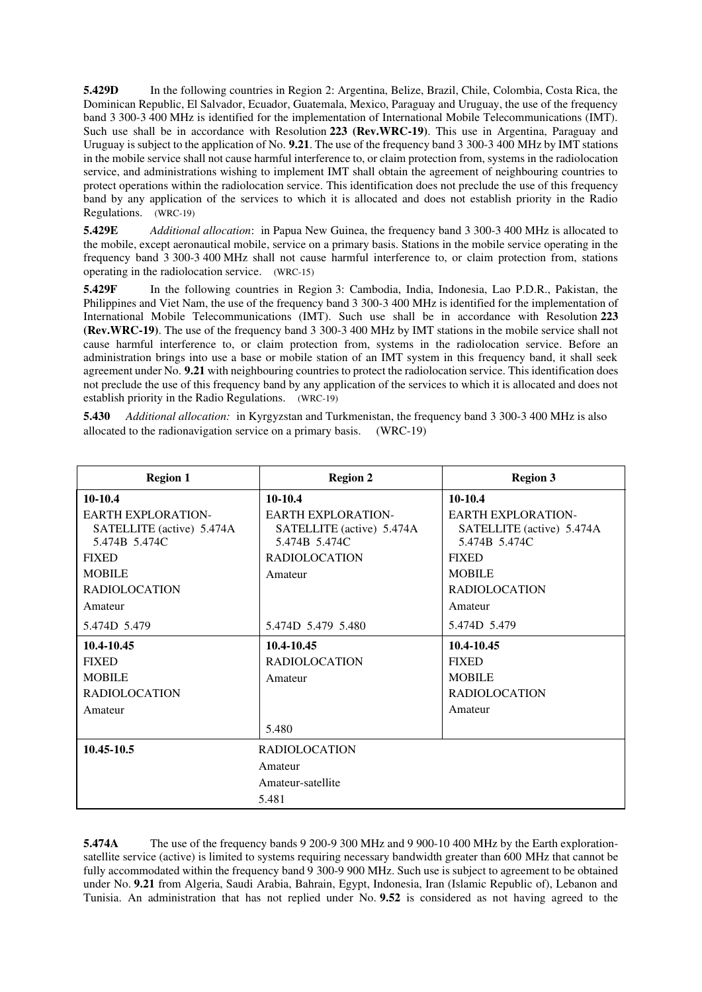**5.429D** In the following countries in Region 2: Argentina, Belize, Brazil, Chile, Colombia, Costa Rica, the Dominican Republic, El Salvador, Ecuador, Guatemala, Mexico, Paraguay and Uruguay, the use of the frequency band 3 300-3 400 MHz is identified for the implementation of International Mobile Telecommunications (IMT). Such use shall be in accordance with Resolution **223 (Rev.WRC-19)**. This use in Argentina, Paraguay and Uruguay is subject to the application of No. **9.21**. The use of the frequency band 3 300-3 400 MHz by IMT stations in the mobile service shall not cause harmful interference to, or claim protection from, systems in the radiolocation service, and administrations wishing to implement IMT shall obtain the agreement of neighbouring countries to protect operations within the radiolocation service. This identification does not preclude the use of this frequency band by any application of the services to which it is allocated and does not establish priority in the Radio Regulations. (WRC-19)

**5.429E** *Additional allocation*: in Papua New Guinea, the frequency band 3 300-3 400 MHz is allocated to the mobile, except aeronautical mobile, service on a primary basis. Stations in the mobile service operating in the frequency band 3 300-3 400 MHz shall not cause harmful interference to, or claim protection from, stations operating in the radiolocation service. (WRC-15)

**5.429F** In the following countries in Region 3: Cambodia, India, Indonesia, Lao P.D.R., Pakistan, the Philippines and Viet Nam, the use of the frequency band 3 300-3 400 MHz is identified for the implementation of International Mobile Telecommunications (IMT). Such use shall be in accordance with Resolution **223 (Rev.WRC-19)**. The use of the frequency band 3 300-3 400 MHz by IMT stations in the mobile service shall not cause harmful interference to, or claim protection from, systems in the radiolocation service. Before an administration brings into use a base or mobile station of an IMT system in this frequency band, it shall seek agreement under No. **9.21** with neighbouring countries to protect the radiolocation service. This identification does not preclude the use of this frequency band by any application of the services to which it is allocated and does not establish priority in the Radio Regulations. (WRC-19)

**5.430** *Additional allocation:* in Kyrgyzstan and Turkmenistan, the frequency band 3 300-3 400 MHz is also allocated to the radionavigation service on a primary basis. (WRC-19)

| <b>Region 1</b>                                                         | <b>Region 2</b>                                                         | <b>Region 3</b>                                                         |  |
|-------------------------------------------------------------------------|-------------------------------------------------------------------------|-------------------------------------------------------------------------|--|
| 10-10.4                                                                 | $10-10.4$                                                               | $10-10.4$                                                               |  |
| <b>EARTH EXPLORATION-</b><br>SATELLITE (active) 5.474A<br>5.474B 5.474C | <b>EARTH EXPLORATION-</b><br>SATELLITE (active) 5.474A<br>5.474B 5.474C | <b>EARTH EXPLORATION-</b><br>SATELLITE (active) 5.474A<br>5.474B 5.474C |  |
| <b>FIXED</b>                                                            | <b>RADIOLOCATION</b>                                                    | <b>FIXED</b>                                                            |  |
| <b>MOBILE</b>                                                           | Amateur                                                                 | <b>MOBILE</b>                                                           |  |
| <b>RADIOLOCATION</b>                                                    |                                                                         | <b>RADIOLOCATION</b>                                                    |  |
| Amateur                                                                 |                                                                         | Amateur                                                                 |  |
| 5.474D 5.479                                                            | 5.474D 5.479 5.480                                                      | 5.474D 5.479                                                            |  |
| 10.4-10.45                                                              | 10.4-10.45                                                              | 10.4-10.45                                                              |  |
| <b>FIXED</b>                                                            | <b>RADIOLOCATION</b>                                                    | <b>FIXED</b>                                                            |  |
| <b>MOBILE</b>                                                           | Amateur                                                                 | <b>MOBILE</b>                                                           |  |
| <b>RADIOLOCATION</b>                                                    |                                                                         | <b>RADIOLOCATION</b>                                                    |  |
| Amateur                                                                 |                                                                         | Amateur                                                                 |  |
|                                                                         | 5.480                                                                   |                                                                         |  |
| 10.45-10.5                                                              | <b>RADIOLOCATION</b>                                                    |                                                                         |  |
|                                                                         | Amateur                                                                 |                                                                         |  |
| Amateur-satellite                                                       |                                                                         |                                                                         |  |
|                                                                         | 5.481                                                                   |                                                                         |  |

**5.474A** The use of the frequency bands 9 200-9 300 MHz and 9 900-10 400 MHz by the Earth explorationsatellite service (active) is limited to systems requiring necessary bandwidth greater than 600 MHz that cannot be fully accommodated within the frequency band 9 300-9 900 MHz. Such use is subject to agreement to be obtained under No. **9.21** from Algeria, Saudi Arabia, Bahrain, Egypt, Indonesia, Iran (Islamic Republic of), Lebanon and Tunisia. An administration that has not replied under No. **9.52** is considered as not having agreed to the